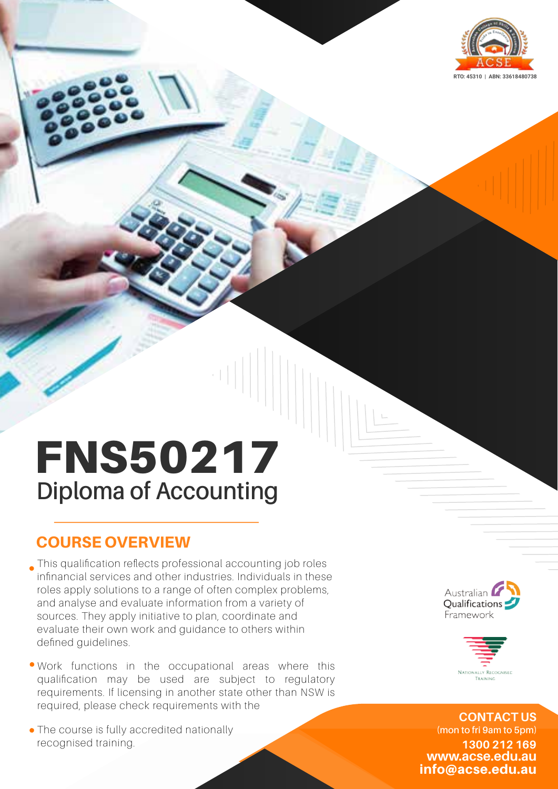

# FNS50217 **Diploma of Accounting**

## COURSE OVERVIEW

This qualification reflects professional accounting job roles infinancial services and other industries. Individuals in these roles apply solutions to a range of often complex problems, and analyse and evaluate information from a variety of sources. They apply initiative to plan, coordinate and evaluate their own work and guidance to others within defined quidelines.

- Work functions in the occupational areas where this qualification may be used are subject to regulatory requirements. If licensing in another state other than NSW is required, please check requirements with the
- The course is fully accredited nationally recognised training.





info@acse.edu.au **www.acse.edu.au 1300 212 169 CONTACT US (mon to fri 9am to 5pm)**